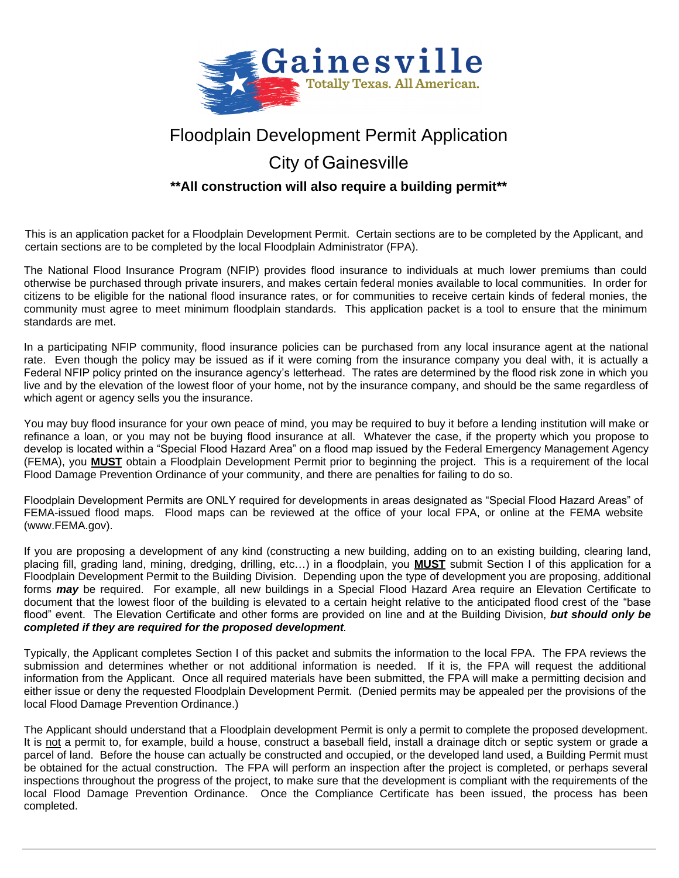

# Floodplain Development Permit Application

# City of Gainesville

### **\*\*All construction will also require a building permit\*\***

This is an application packet for a Floodplain Development Permit. Certain sections are to be completed by the Applicant, and certain sections are to be completed by the local Floodplain Administrator (FPA).

The National Flood Insurance Program (NFIP) provides flood insurance to individuals at much lower premiums than could otherwise be purchased through private insurers, and makes certain federal monies available to local communities. In order for citizens to be eligible for the national flood insurance rates, or for communities to receive certain kinds of federal monies, the community must agree to meet minimum floodplain standards. This application packet is a tool to ensure that the minimum standards are met.

In a participating NFIP community, flood insurance policies can be purchased from any local insurance agent at the national rate. Even though the policy may be issued as if it were coming from the insurance company you deal with, it is actually a Federal NFIP policy printed on the insurance agency's letterhead. The rates are determined by the flood risk zone in which you live and by the elevation of the lowest floor of your home, not by the insurance company, and should be the same regardless of which agent or agency sells you the insurance.

You may buy flood insurance for your own peace of mind, you may be required to buy it before a lending institution will make or refinance a loan, or you may not be buying flood insurance at all. Whatever the case, if the property which you propose to develop is located within a "Special Flood Hazard Area" on a flood map issued by the Federal Emergency Management Agency (FEMA), you **MUST** obtain a Floodplain Development Permit prior to beginning the project. This is a requirement of the local Flood Damage Prevention Ordinance of your community, and there are penalties for failing to do so.

Floodplain Development Permits are ONLY required for developments in areas designated as "Special Flood Hazard Areas" of FEMA-issued flood maps. Flood maps can be reviewed at the office of your local FPA, or online at the FEMA website (www.FEMA.gov).

If you are proposing a development of any kind (constructing a new building, adding on to an existing building, clearing land, placing fill, grading land, mining, dredging, drilling, etc…) in a floodplain, you **MUST** submit Section I of this application for a Floodplain Development Permit to the Building Division. Depending upon the type of development you are proposing, additional forms *may* be required. For example, all new buildings in a Special Flood Hazard Area require an Elevation Certificate to document that the lowest floor of the building is elevated to a certain height relative to the anticipated flood crest of the "base flood" event. The Elevation Certificate and other forms are provided on line and at the Building Division, *but should only be completed if they are required for the proposed development.*

Typically, the Applicant completes Section I of this packet and submits the information to the local FPA. The FPA reviews the submission and determines whether or not additional information is needed. If it is, the FPA will request the additional information from the Applicant. Once all required materials have been submitted, the FPA will make a permitting decision and either issue or deny the requested Floodplain Development Permit. (Denied permits may be appealed per the provisions of the local Flood Damage Prevention Ordinance.)

The Applicant should understand that a Floodplain development Permit is only a permit to complete the proposed development. It is not a permit to, for example, build a house, construct a baseball field, install a drainage ditch or septic system or grade a parcel of land. Before the house can actually be constructed and occupied, or the developed land used, a Building Permit must be obtained for the actual construction. The FPA will perform an inspection after the project is completed, or perhaps several inspections throughout the progress of the project, to make sure that the development is compliant with the requirements of the local Flood Damage Prevention Ordinance. Once the Compliance Certificate has been issued, the process has been completed.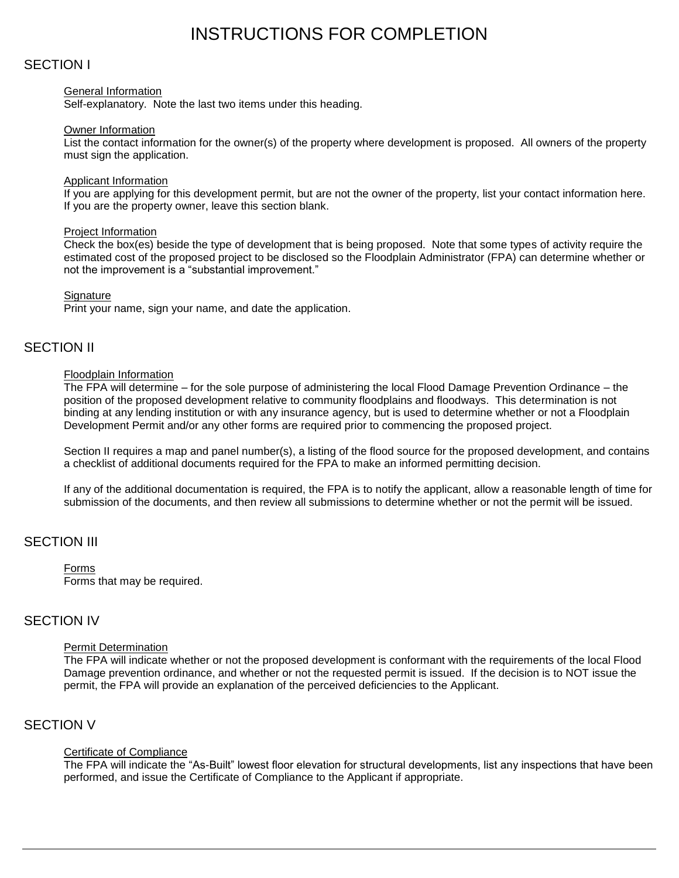# INSTRUCTIONS FOR COMPLETION

### SECTION I

#### General Information

Self-explanatory. Note the last two items under this heading.

#### Owner Information

List the contact information for the owner(s) of the property where development is proposed. All owners of the property must sign the application.

#### Applicant Information

If you are applying for this development permit, but are not the owner of the property, list your contact information here. If you are the property owner, leave this section blank.

#### Project Information

Check the box(es) beside the type of development that is being proposed. Note that some types of activity require the estimated cost of the proposed project to be disclosed so the Floodplain Administrator (FPA) can determine whether or not the improvement is a "substantial improvement."

#### **Signature**

Print your name, sign your name, and date the application.

### SECTION II

#### Floodplain Information

The FPA will determine – for the sole purpose of administering the local Flood Damage Prevention Ordinance – the position of the proposed development relative to community floodplains and floodways. This determination is not binding at any lending institution or with any insurance agency, but is used to determine whether or not a Floodplain Development Permit and/or any other forms are required prior to commencing the proposed project.

Section II requires a map and panel number(s), a listing of the flood source for the proposed development, and contains a checklist of additional documents required for the FPA to make an informed permitting decision.

If any of the additional documentation is required, the FPA is to notify the applicant, allow a reasonable length of time for submission of the documents, and then review all submissions to determine whether or not the permit will be issued.

### SECTION III

Forms Forms that may be required.

### SECTION IV

#### Permit Determination

The FPA will indicate whether or not the proposed development is conformant with the requirements of the local Flood Damage prevention ordinance, and whether or not the requested permit is issued. If the decision is to NOT issue the permit, the FPA will provide an explanation of the perceived deficiencies to the Applicant.

### SECTION V

#### Certificate of Compliance

The FPA will indicate the "As-Built" lowest floor elevation for structural developments, list any inspections that have been performed, and issue the Certificate of Compliance to the Applicant if appropriate.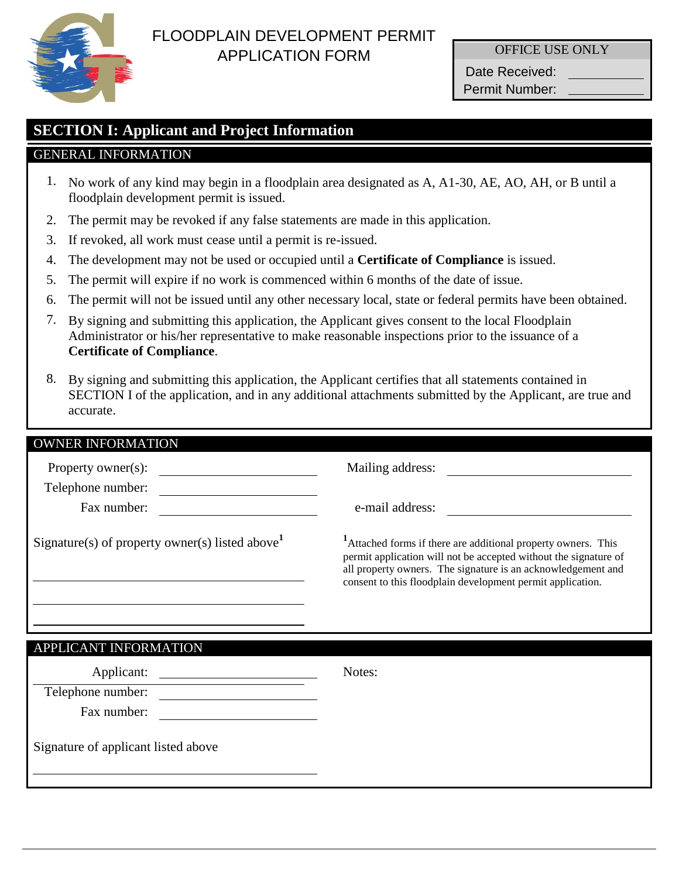

# FLOODPLAIN DEVELOPMENT PERMIT APPLICATION FORM

OFFICE USE ONLY

Date Received: Permit Number:

# **SECTION I: Applicant and Project Information**

### GENERAL INFORMATION

- 1. No work of any kind may begin in a floodplain area designated as A, A1-30, AE, AO, AH, or B until a floodplain development permit is issued.
- 2. The permit may be revoked if any false statements are made in this application.
- 3. If revoked, all work must cease until a permit is re-issued.
- 4. The development may not be used or occupied until a **Certificate of Compliance** is issued.
- 5. The permit will expire if no work is commenced within 6 months of the date of issue.
- 6. The permit will not be issued until any other necessary local, state or federal permits have been obtained.
- 7. By signing and submitting this application, the Applicant gives consent to the local Floodplain Administrator or his/her representative to make reasonable inspections prior to the issuance of a **Certificate of Compliance**.
- 8. By signing and submitting this application, the Applicant certifies that all statements contained in SECTION I of the application, and in any additional attachments submitted by the Applicant, are true and accurate.

| Mailing address:                                                                                                                                                                                                                                               |  |  |
|----------------------------------------------------------------------------------------------------------------------------------------------------------------------------------------------------------------------------------------------------------------|--|--|
|                                                                                                                                                                                                                                                                |  |  |
| e-mail address:                                                                                                                                                                                                                                                |  |  |
| Attached forms if there are additional property owners. This<br>permit application will not be accepted without the signature of<br>all property owners. The signature is an acknowledgement and<br>consent to this floodplain development permit application. |  |  |
|                                                                                                                                                                                                                                                                |  |  |
| Notes:                                                                                                                                                                                                                                                         |  |  |
|                                                                                                                                                                                                                                                                |  |  |
|                                                                                                                                                                                                                                                                |  |  |
|                                                                                                                                                                                                                                                                |  |  |
|                                                                                                                                                                                                                                                                |  |  |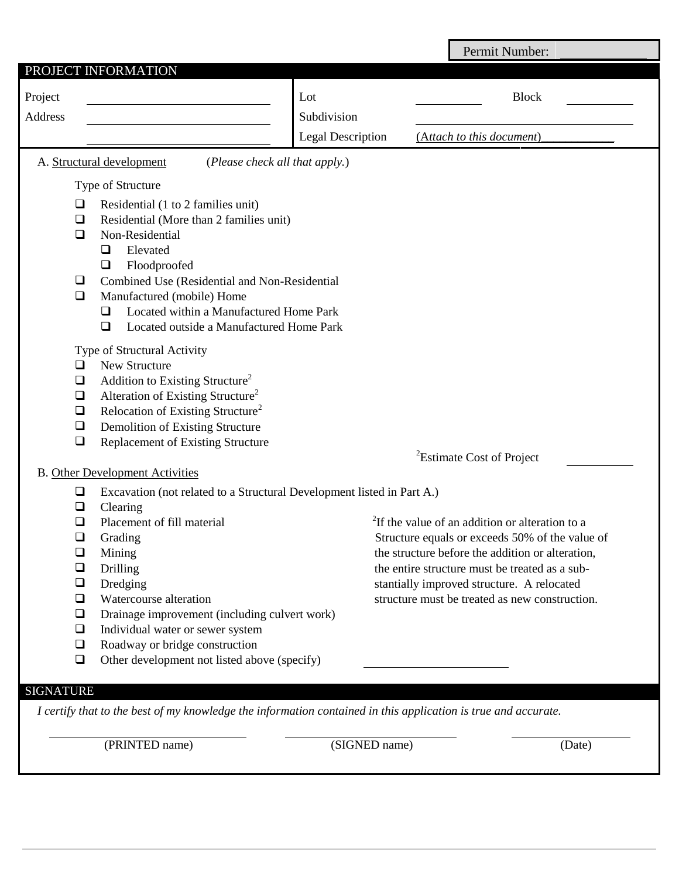|                  |                                                                                                                |                          | Permit Number:                                              |
|------------------|----------------------------------------------------------------------------------------------------------------|--------------------------|-------------------------------------------------------------|
|                  | PROJECT INFORMATION                                                                                            |                          |                                                             |
| Project          |                                                                                                                | Lot                      | <b>Block</b>                                                |
| Address          |                                                                                                                | Subdivision              |                                                             |
|                  |                                                                                                                | <b>Legal Description</b> | (Attach to this document)                                   |
|                  | A. Structural development<br>(Please check all that apply.)                                                    |                          |                                                             |
|                  | Type of Structure                                                                                              |                          |                                                             |
| ❏                | Residential (1 to 2 families unit)                                                                             |                          |                                                             |
| $\Box$           | Residential (More than 2 families unit)                                                                        |                          |                                                             |
| ◻                | Non-Residential                                                                                                |                          |                                                             |
|                  | Elevated<br>❏                                                                                                  |                          |                                                             |
|                  | Floodproofed<br>$\Box$                                                                                         |                          |                                                             |
| □                | Combined Use (Residential and Non-Residential                                                                  |                          |                                                             |
| $\Box$           | Manufactured (mobile) Home                                                                                     |                          |                                                             |
|                  | Located within a Manufactured Home Park<br>□                                                                   |                          |                                                             |
|                  | Located outside a Manufactured Home Park<br>$\Box$                                                             |                          |                                                             |
|                  | Type of Structural Activity                                                                                    |                          |                                                             |
| □                | New Structure                                                                                                  |                          |                                                             |
| $\Box$           | Addition to Existing Structure <sup>2</sup>                                                                    |                          |                                                             |
| $\Box$           | Alteration of Existing Structure <sup>2</sup>                                                                  |                          |                                                             |
| $\Box$           | Relocation of Existing Structure <sup>2</sup>                                                                  |                          |                                                             |
| $\Box$<br>$\Box$ | Demolition of Existing Structure                                                                               |                          |                                                             |
|                  | <b>Replacement of Existing Structure</b>                                                                       |                          | <sup>2</sup> Estimate Cost of Project                       |
|                  | <b>B.</b> Other Development Activities                                                                         |                          |                                                             |
| ❏                | Excavation (not related to a Structural Development listed in Part A.)                                         |                          |                                                             |
| ❏                | Clearing                                                                                                       |                          |                                                             |
| ❏                | Placement of fill material                                                                                     |                          | <sup>2</sup> If the value of an addition or alteration to a |
| ⊔                | Grading                                                                                                        |                          | Structure equals or exceeds 50% of the value of             |
| ❏                | Mining                                                                                                         |                          | the structure before the addition or alteration,            |
| $\Box$           | Drilling                                                                                                       |                          | the entire structure must be treated as a sub-              |
| ❏                | Dredging                                                                                                       |                          | stantially improved structure. A relocated                  |
| $\Box$           | Watercourse alteration                                                                                         |                          | structure must be treated as new construction.              |
| $\Box$           | Drainage improvement (including culvert work)                                                                  |                          |                                                             |
| $\Box$           | Individual water or sewer system                                                                               |                          |                                                             |
| $\Box$           | Roadway or bridge construction                                                                                 |                          |                                                             |
| $\Box$           | Other development not listed above (specify)                                                                   |                          |                                                             |
| <b>SIGNATURE</b> |                                                                                                                |                          |                                                             |
|                  | I certify that to the best of my knowledge the information contained in this application is true and accurate. |                          |                                                             |
|                  |                                                                                                                |                          |                                                             |
|                  | (PRINTED name)                                                                                                 | (SIGNED name)            | (Date)                                                      |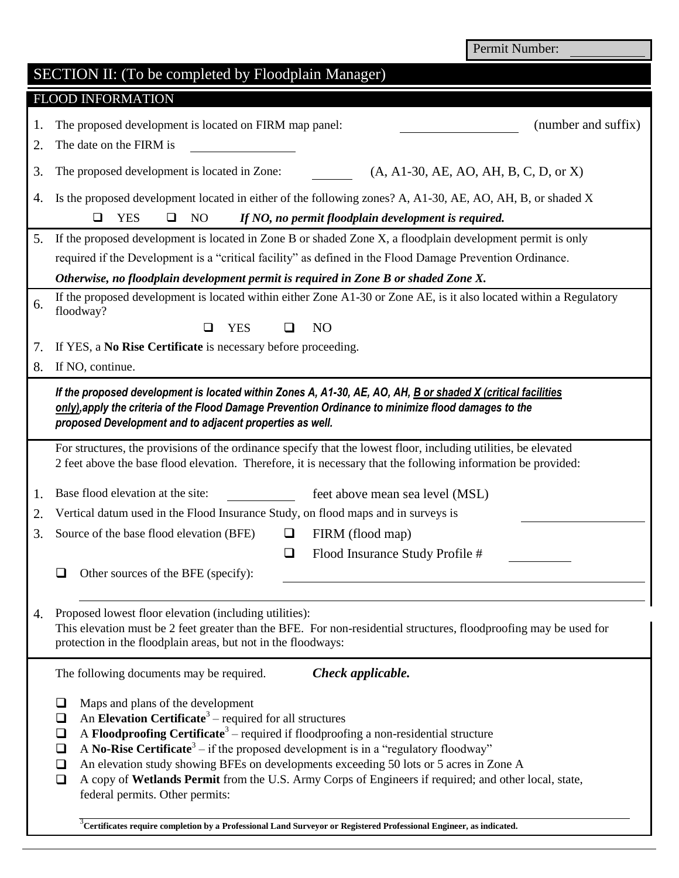Permit Number:

|                          | SECTION II: (To be completed by Floodplain Manager)                                                                                                                                                                                                                                                                                                                                                                                                                                                                                                                                                                                                                                                                  |  |  |  |  |
|--------------------------|----------------------------------------------------------------------------------------------------------------------------------------------------------------------------------------------------------------------------------------------------------------------------------------------------------------------------------------------------------------------------------------------------------------------------------------------------------------------------------------------------------------------------------------------------------------------------------------------------------------------------------------------------------------------------------------------------------------------|--|--|--|--|
| <b>FLOOD INFORMATION</b> |                                                                                                                                                                                                                                                                                                                                                                                                                                                                                                                                                                                                                                                                                                                      |  |  |  |  |
| 1.<br>2.                 | The proposed development is located on FIRM map panel:<br>(number and suffix)<br>The date on the FIRM is                                                                                                                                                                                                                                                                                                                                                                                                                                                                                                                                                                                                             |  |  |  |  |
| 3.                       | $(A, A1-30, AE, AO, AH, B, C, D, or X)$<br>The proposed development is located in Zone:                                                                                                                                                                                                                                                                                                                                                                                                                                                                                                                                                                                                                              |  |  |  |  |
| 4.                       | Is the proposed development located in either of the following zones? A, A1-30, AE, AO, AH, B, or shaded X                                                                                                                                                                                                                                                                                                                                                                                                                                                                                                                                                                                                           |  |  |  |  |
|                          | □<br><b>YES</b><br>$\Box$<br>N <sub>O</sub><br>If NO, no permit floodplain development is required.                                                                                                                                                                                                                                                                                                                                                                                                                                                                                                                                                                                                                  |  |  |  |  |
| 5.                       | If the proposed development is located in Zone B or shaded Zone X, a floodplain development permit is only                                                                                                                                                                                                                                                                                                                                                                                                                                                                                                                                                                                                           |  |  |  |  |
|                          | required if the Development is a "critical facility" as defined in the Flood Damage Prevention Ordinance.                                                                                                                                                                                                                                                                                                                                                                                                                                                                                                                                                                                                            |  |  |  |  |
|                          | Otherwise, no floodplain development permit is required in Zone B or shaded Zone X.                                                                                                                                                                                                                                                                                                                                                                                                                                                                                                                                                                                                                                  |  |  |  |  |
| 6.                       | If the proposed development is located within either Zone A1-30 or Zone AE, is it also located within a Regulatory<br>floodway?                                                                                                                                                                                                                                                                                                                                                                                                                                                                                                                                                                                      |  |  |  |  |
|                          | N <sub>O</sub><br><b>YES</b><br>⊔                                                                                                                                                                                                                                                                                                                                                                                                                                                                                                                                                                                                                                                                                    |  |  |  |  |
| 7.                       | If YES, a No Rise Certificate is necessary before proceeding.                                                                                                                                                                                                                                                                                                                                                                                                                                                                                                                                                                                                                                                        |  |  |  |  |
| 8.                       | If NO, continue.                                                                                                                                                                                                                                                                                                                                                                                                                                                                                                                                                                                                                                                                                                     |  |  |  |  |
|                          | If the proposed development is located within Zones A, A1-30, AE, AO, AH, B or shaded X (critical facilities<br>only), apply the criteria of the Flood Damage Prevention Ordinance to minimize flood damages to the<br>proposed Development and to adjacent properties as well.                                                                                                                                                                                                                                                                                                                                                                                                                                      |  |  |  |  |
|                          | For structures, the provisions of the ordinance specify that the lowest floor, including utilities, be elevated                                                                                                                                                                                                                                                                                                                                                                                                                                                                                                                                                                                                      |  |  |  |  |
|                          | 2 feet above the base flood elevation. Therefore, it is necessary that the following information be provided:                                                                                                                                                                                                                                                                                                                                                                                                                                                                                                                                                                                                        |  |  |  |  |
| 1.                       | Base flood elevation at the site:<br>feet above mean sea level (MSL)                                                                                                                                                                                                                                                                                                                                                                                                                                                                                                                                                                                                                                                 |  |  |  |  |
| 2.                       | Vertical datum used in the Flood Insurance Study, on flood maps and in surveys is                                                                                                                                                                                                                                                                                                                                                                                                                                                                                                                                                                                                                                    |  |  |  |  |
| 3.                       | Source of the base flood elevation (BFE)<br>FIRM (flood map)<br>ப                                                                                                                                                                                                                                                                                                                                                                                                                                                                                                                                                                                                                                                    |  |  |  |  |
|                          | $\Box$<br>Flood Insurance Study Profile #                                                                                                                                                                                                                                                                                                                                                                                                                                                                                                                                                                                                                                                                            |  |  |  |  |
|                          | Other sources of the BFE (specify):                                                                                                                                                                                                                                                                                                                                                                                                                                                                                                                                                                                                                                                                                  |  |  |  |  |
| 4.                       | Proposed lowest floor elevation (including utilities):<br>This elevation must be 2 feet greater than the BFE. For non-residential structures, floodproofing may be used for<br>protection in the floodplain areas, but not in the floodways:                                                                                                                                                                                                                                                                                                                                                                                                                                                                         |  |  |  |  |
|                          | Check applicable.<br>The following documents may be required.                                                                                                                                                                                                                                                                                                                                                                                                                                                                                                                                                                                                                                                        |  |  |  |  |
|                          | Maps and plans of the development<br>⊔<br>An Elevation Certificate <sup>3</sup> – required for all structures<br>❏<br>A Floodproofing Certificate <sup>3</sup> – required if floodproofing a non-residential structure<br>❏<br>A No-Rise Certificate <sup>3</sup> – if the proposed development is in a "regulatory floodway"<br>❏<br>An elevation study showing BFEs on developments exceeding 50 lots or 5 acres in Zone A<br>❏<br>A copy of Wetlands Permit from the U.S. Army Corps of Engineers if required; and other local, state,<br>□<br>federal permits. Other permits:<br><sup>3</sup> Certificates require completion by a Professional Land Surveyor or Registered Professional Engineer, as indicated. |  |  |  |  |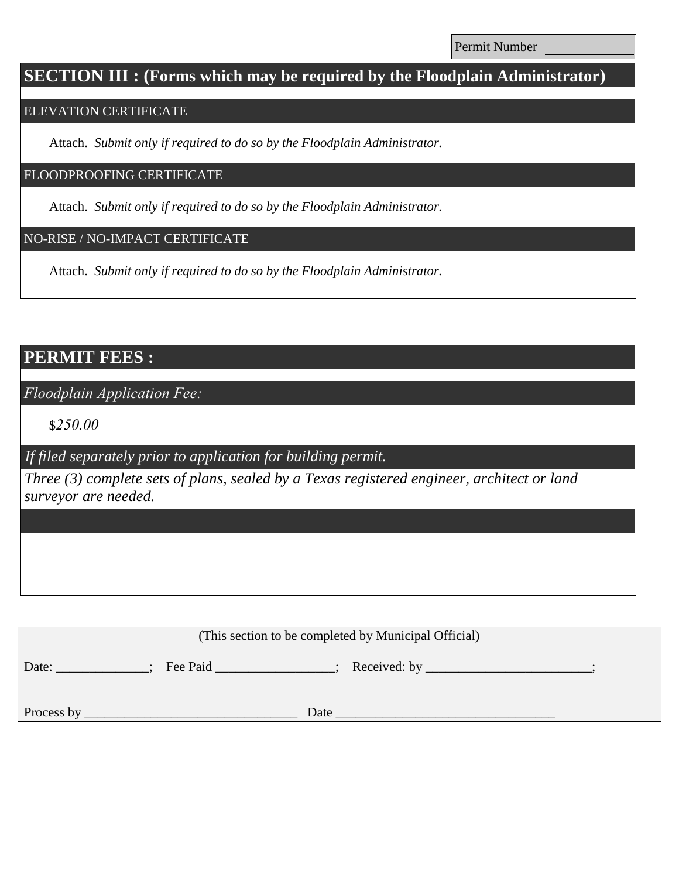Permit Number

# **SECTION III : (Forms which may be required by the Floodplain Administrator)**

### ELEVATION CERTIFICATE

Attach. *Submit only if required to do so by the Floodplain Administrator.*

### FLOODPROOFING CERTIFICATE

Attach. *Submit only if required to do so by the Floodplain Administrator.*

### NO-RISE / NO-IMPACT CERTIFICATE

Attach. *Submit only if required to do so by the Floodplain Administrator.*

# **PERMIT FEES :**

*Floodplain Application Fee:*

\$*250.00*

*If filed separately prior to application for building permit.*

*Three (3) complete sets of plans, sealed by a Texas registered engineer, architect or land surveyor are needed.*

| (This section to be completed by Municipal Official) |          |              |  |  |  |
|------------------------------------------------------|----------|--------------|--|--|--|
| Date:                                                | Fee Paid | Received: by |  |  |  |
|                                                      |          |              |  |  |  |
| Process by                                           | Date     |              |  |  |  |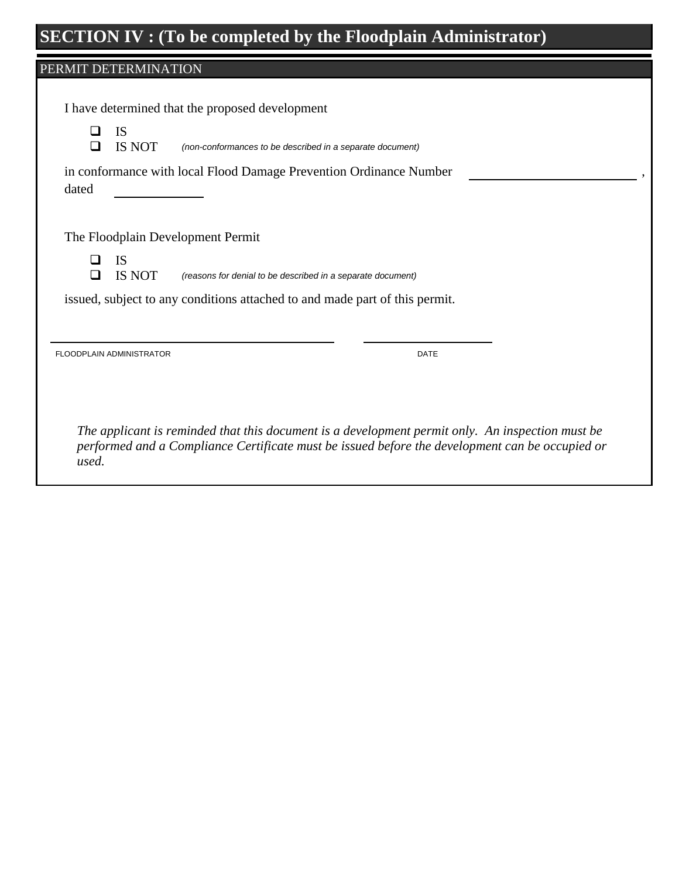# **SECTION IV : (To be completed by the Floodplain Administrator)**

## PERMIT DETERMINATION

|       | IS<br>IS NOT             | I have determined that the proposed development<br>(non-conformances to be described in a separate document) |
|-------|--------------------------|--------------------------------------------------------------------------------------------------------------|
| dated |                          | in conformance with local Flood Damage Prevention Ordinance Number                                           |
|       |                          | The Floodplain Development Permit                                                                            |
| П     | <b>IS</b><br>IS NOT      | (reasons for denial to be described in a separate document)                                                  |
|       |                          | issued, subject to any conditions attached to and made part of this permit.                                  |
|       |                          |                                                                                                              |
|       | FLOODPLAIN ADMINISTRATOR | <b>DATE</b>                                                                                                  |
|       |                          |                                                                                                              |
|       |                          | The applicant is reminded that this document is a development permit only. An inspection must be             |

*performed and a Compliance Certificate must be issued before the development can be occupied or used.*